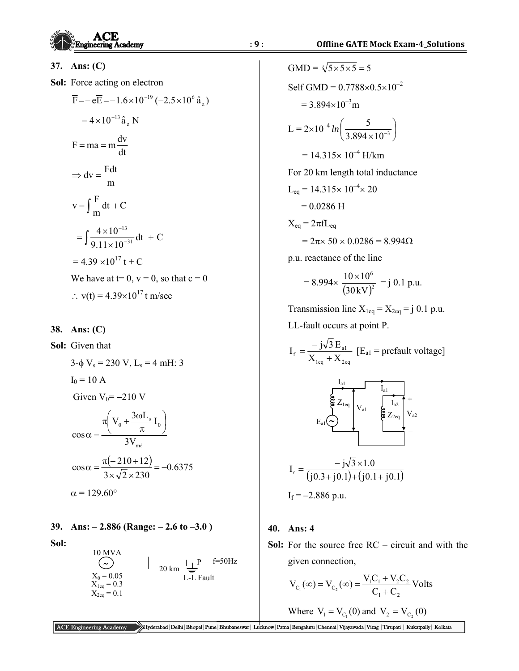**37. Ans: (C)** 

**Sol:** Force acting on electron

$$
\overline{F} = -e\overline{E} = -1.6 \times 10^{-19} (-2.5 \times 10^{6} \hat{a}_{z})
$$
  
= 4 × 10<sup>-13</sup> \hat{a}\_{z} N  
  

$$
F = ma = m \frac{dv}{dt}
$$
  
  

$$
\Rightarrow dv = \frac{Fdt}{m}
$$
  
  

$$
v = \int \frac{F}{m} dt + C
$$
  
  

$$
= \int \frac{4 \times 10^{-13}}{9.11 \times 10^{-31}} dt + C
$$
  
  

$$
= 4.39 \times 10^{17} t + C
$$
  
We have at t= 0, v = 0, so that c = 0  

$$
\therefore v(t) = 4.39 \times 10^{17} t
$$
m/sec

**38. Ans: (C)** 

**Sol:** Given that

$$
3-\phi V_s = 230 V, L_s = 4 \text{ mH: } 3
$$
  
\n
$$
I_0 = 10 \text{ A}
$$
  
\nGiven  $V_0 = -210 \text{ V}$   
\n
$$
\cos \alpha = \frac{\pi \left( V_0 + \frac{3\omega L_s}{\pi} I_0 \right)}{3V_{m\ell}}
$$
  
\n
$$
\cos \alpha = \frac{\pi (-210+12)}{3 \times \sqrt{2} \times 230} = -0.6375
$$
  
\n
$$
\alpha = 129.60^\circ
$$

# **39. Ans: – 2.886 (Range: – 2.6 to –3.0 )**

**Sol:** 



GMD = 
$$
\sqrt[3]{5 \times 5 \times 5} = 5
$$
  
\nSelf GMD = 0.7788×0.5×10<sup>-2</sup>  
\n= 3.894×10<sup>-3</sup>m  
\nL = 2×10<sup>-4</sup> ln  $\left(\frac{5}{3.894 \times 10^{-3}}\right)$   
\n= 14.315×10<sup>-4</sup> H/km  
\nFor 20 km length total inductance  
\nL<sub>eq</sub> = 14.315×10<sup>-4</sup>×20  
\n= 0.0286 H  
\nX<sub>eq</sub> = 2πfL<sub>eq</sub>  
\n= 2π× 50 × 0.0286 = 8.994Ω  
\np.u. reactance of the line  
\n= 8.994× $\frac{10 \times 10^6}{(30 \text{ kV})^2} = j 0.1 \text{ p.u.}$   
\nTransmission line X<sub>1eq</sub> = X<sub>2eq</sub> = j 0.1 p

Transmission line  $X_{1eq} = X_{2eq} = j \; 0.1 \; p.u.$ LL-fault occurs at point P.

$$
I_{\rm f} = \frac{-j\sqrt{3} E_{\rm al}}{X_{\rm 1eq} + X_{\rm 2eq}} \left[ E_{\rm al} = \text{prefixult voltage} \right]
$$



$$
I_f = -2.886 \text{ p.u.}
$$

#### **40. Ans: 4**

**Sol:** For the source free RC – circuit and with the given connection,

$$
V_{C_1}(\infty) = V_{C_2}(\infty) = \frac{V_1 C_1 + V_2 C_2}{C_1 + C_2}
$$
 Volts

Where 
$$
V_1 = V_{C_1}(0)
$$
 and  $V_2 = V_{C_2}(0)$ 

ACE Engineering Academy Hyderabad|Delhi|Bhopal|Pune|Bhubaneswar| Lucknow|Patna|Bengaluru|Chennai|Vijayawada|Vizag |Tirupati | Kukatpally| Kolkata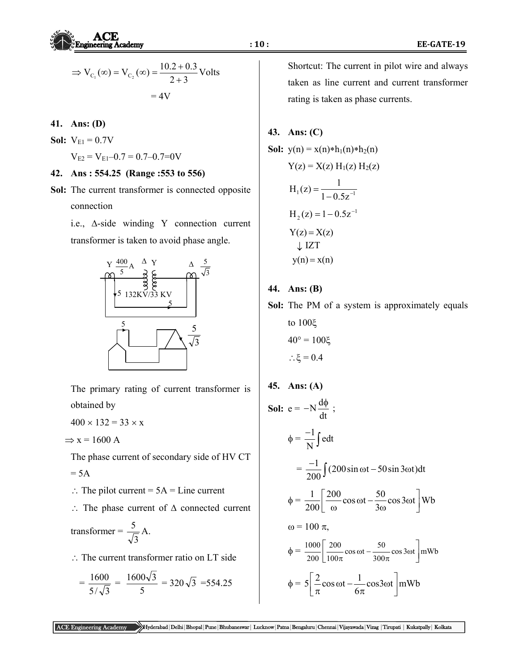

$$
\Rightarrow V_{C_1}(\infty) = V_{C_2}(\infty) = \frac{10.2 + 0.3}{2 + 3}
$$
Volts  
= 4V

- **41. Ans: (D)**
- **Sol:**  $V_{E1} = 0.7V$

$$
V_{E2} = V_{E1} - 0.7 = 0.7 - 0.7 = 0V
$$

- **42. Ans : 554.25 (Range :553 to 556)**
- **Sol:** The current transformer is connected opposite connection



 The primary rating of current transformer is obtained by Since

 $400 \times 132 = 33 \times x$ 

$$
\Rightarrow
$$
 x = 1600 A

- The phase current of secondary side of HV CT  $= 5A$
- $\therefore$  The pilot current = 5A = Line current
- $\therefore$  The phase current of  $\Delta$  connected current

$$
transformer = \frac{5}{\sqrt{3}} A.
$$

 $\therefore$  The current transformer ratio on LT side

$$
= \frac{1600}{5/\sqrt{3}} = \frac{1600\sqrt{3}}{5} = 320\sqrt{3} = 554.25
$$

 Shortcut: The current in pilot wire and always taken as line current and current transformer rating is taken as phase currents.

## **43. Ans: (C)**

Sol: 
$$
y(n) = x(n) * h_1(n) * h_2(n)
$$

\n $Y(z) = X(z) H_1(z) H_2(z)$ 

\n $H_1(z) = \frac{1}{1 - 0.5z^{-1}}$ 

\n $H_2(z) = 1 - 0.5z^{-1}$ 

\n $Y(z) = X(z)$ 

\n $\sqrt{C} \quad \sqrt{LST}$ 

\n $y(n) = x(n)$ 

**44. Ans: (B)** 

**Sol:** The PM of a system is approximately equals

to 100
$$
\xi
$$
  
40° = 100 $\xi$   
 $\therefore \xi = 0.4$ 

**45. Ans: (A)** 

 $\omega$  = 100  $\pi$ ,

**Sol:** 
$$
e = -N \frac{d\phi}{dt}
$$
;  
\n
$$
\phi = \frac{-1}{N} \int e dt
$$
\n
$$
= \frac{-1}{200} \int (200 \sin \omega t - 50 \sin 3\omega t) dt
$$
\n
$$
\phi = \frac{1}{200} \left[ \frac{200}{\omega} \cos \omega t - \frac{50}{3\omega} \cos 3\omega t \right] Wb
$$

$$
\phi = \frac{1000}{200} \left[ \frac{200}{100\pi} \cos \omega t - \frac{50}{300\pi} \cos 3\omega t \right] \text{mWb}
$$

$$
\phi = 5\left[\frac{2}{\pi}\cos\omega t - \frac{1}{6\pi}\cos 3\omega t\right]mWb
$$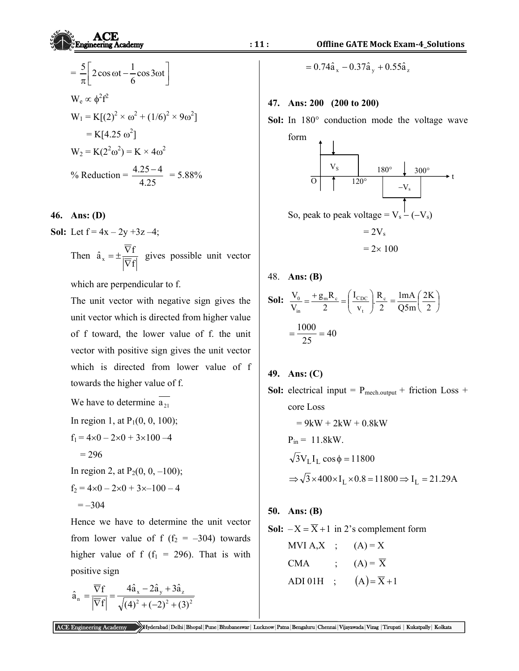$$
\mathbf{ACE}
$$
\n
$$
\mathbf{CE}
$$
\n
$$
\mathbf{11}:
$$
\nOffline GATE Mock Exa

$$
= \frac{5}{\pi} \left[ 2\cos \omega t - \frac{1}{6}\cos 3\omega t \right]
$$
  
\n
$$
W_e \propto \phi^2 f^2
$$
  
\n
$$
W_1 = K[(2)^2 \times \omega^2 + (1/6)^2 \times 9\omega^2]
$$
  
\n
$$
= K[4.25 \omega^2]
$$
  
\n
$$
W_2 = K(2^2 \omega^2) = K \times 4\omega^2
$$
  
\n
$$
\% \text{Reduction} = \frac{4.25 - 4}{4.25} = 5.88\%
$$

## **46. Ans: (D)**

**Sol:** Let  $f = 4x - 2y + 3z - 4$ ;

Then 
$$
\hat{a}_x = \pm \frac{\overline{\nabla}f}{|\overline{\nabla}f|}
$$
 gives possible unit vector

which are perpendicular to f.

 The unit vector with negative sign gives the unit vector which is directed from higher value of f toward, the lower value of f. the unit vector with positive sign gives the unit vector which is directed from lower value of f towards the higher value of f.

We have to determine  $a_{21}$ 

In region 1, at 
$$
P_1(0, 0, 100)
$$
;

$$
f_1 = 4 \times 0 - 2 \times 0 + 3 \times 100 - 4
$$
  
= 296

In region 2, at  $P_2(0, 0, -100)$ ;  $f_2 = 4 \times 0 - 2 \times 0 + 3 \times -100 - 4$  $=-304$ 

 Hence we have to determine the unit vector from lower value of f ( $f_2 = -304$ ) towards higher value of f ( $f_1 = 296$ ). That is with positive sign

$$
\hat{a}_{n} = \frac{\overline{\nabla}f}{\left|\overline{\nabla}f\right|} = \frac{4\hat{a}_{x} - 2\hat{a}_{y} + 3\hat{a}_{z}}{\sqrt{(4)^{2} + (-2)^{2} + (3)^{2}}}
$$

$$
= 0.74 \hat{a}_x - 0.37 \hat{a}_y + 0.55 \hat{a}_z
$$

#### **47. Ans: 200 (200 to 200)**

Sol: In 180° conduction mode the voltage wave



$$
NG_{A} = 2 \times 100
$$

48. **Ans: (B)** 

**Sol:** 
$$
\frac{V_0}{V_{in}} = \frac{+g_m R_c}{2} = \left(\frac{I_{c_{DC}}}{v_t}\right) \frac{R_c}{2} = \frac{ImA}{Q5m} \left(\frac{2K}{2}\right)
$$
  
=  $\frac{1000}{25} = 40$ 

**49. Ans: (C)** 

**Sol:** electrical input =  $P_{mech.output}$  + friction Loss + core Loss

$$
= 9kW + 2kW + 0.8kW
$$
  
P<sub>in</sub> = 11.8kW.  

$$
\sqrt{3}V_L I_L \cos \phi = 11800
$$
  

$$
\Rightarrow \sqrt{3} \times 400 \times I_L \times 0.8 = 11800 \Rightarrow I_L = 21.29A
$$

**50. Ans: (B)**

**Sol:** 
$$
-X = \overline{X} + 1
$$
 in 2's complement form

MVI A,X ; 
$$
(A) = X
$$
  
\nCMA ;  $(A) = \overline{X}$   
\nADI 01H ;  $(A) = \overline{X} + 1$ 

ACE Engineering Academy Hyderabad|Delhi|Bhopal|Pune|Bhubaneswar| Lucknow|Patna|Bengaluru|Chennai|Vijayawada|Vizag |Tirupati | Kukatpally| Kolkata

**Since**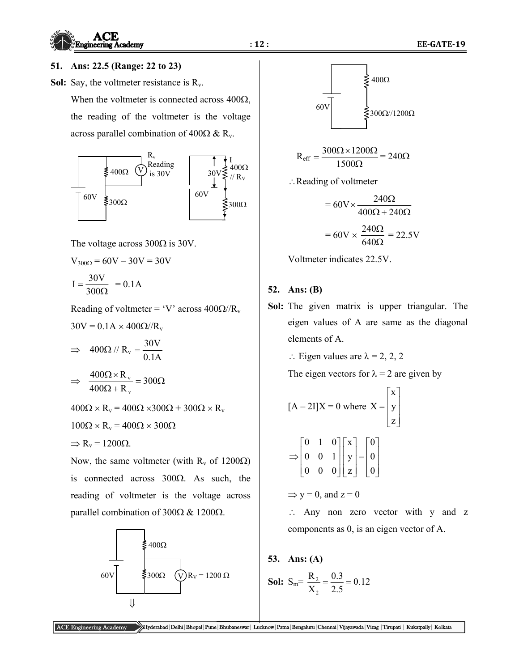

### **51. Ans: 22.5 (Range: 22 to 23)**

**Sol:** Say, the voltmeter resistance is R<sub>v</sub>.

When the voltmeter is connected across  $400\Omega$ , the reading of the voltmeter is the voltage across parallel combination of  $400\Omega \& R_{v}$ .



The voltage across  $300\Omega$  is 30V.

$$
V_{300\Omega} = 60V - 30V = 30V
$$

$$
I = \frac{30V}{300\Omega} = 0.1A
$$

Reading of voltmeter = 'V' across  $400\Omega/R_v$ 

$$
30\mathrm{V} = 0.1\mathrm{A} \times 400\Omega/\mathrm{R_v}
$$

$$
\Rightarrow 400\Omega / / R_v = \frac{30V}{0.1A}
$$

$$
\Rightarrow \frac{400\Omega \times R_{v}}{400\Omega + R_{v}} = 300\Omega
$$

 $400\Omega \times R_v = 400\Omega \times 300\Omega + 300\Omega \times R_v$ 

 $100\Omega \times R_v = 400\Omega \times 300\Omega$ 

$$
\Rightarrow R_v = 1200\Omega.
$$

Now, the same voltmeter (with  $R_v$  of 1200 $\Omega$ ) is connected across  $300\Omega$ . As such, the reading of voltmeter is the voltage across parallel combination of  $300\Omega \& 1200\Omega$ .





$$
R_{eff} = \frac{300\Omega \times 1200\Omega}{1500\Omega} = 240\Omega
$$

Reading of voltmeter

$$
= 60 \text{V} \times \frac{240 \Omega}{400 \Omega + 240 \Omega}
$$

$$
= 60 \text{V} \times \frac{240 \Omega}{640 \Omega} = 22.5 \text{V}
$$

Voltmeter indicates 22.5V.

## **52. Ans: (B)**

**Sol:** The given matrix is upper triangular. The eigen values of A are same as the diagonal elements of A.

 $\therefore$  Eigen values are  $\lambda = 2, 2, 2$ 

The eigen vectors for  $\lambda = 2$  are given by

$$
[A - 2I]X = 0 \text{ where } X = \begin{bmatrix} x \\ y \\ z \end{bmatrix}
$$

$$
\Rightarrow \begin{bmatrix} 0 & 1 & 0 \\ 0 & 0 & 1 \\ 0 & 0 & 0 \end{bmatrix} \begin{bmatrix} x \\ y \\ z \end{bmatrix} = \begin{bmatrix} 0 \\ 0 \\ 0 \end{bmatrix}
$$

 $\Rightarrow$  y = 0, and z = 0

 Any non zero vector with y and z components as 0, is an eigen vector of A.

**53. Ans: (A)** 

**Sol:** 
$$
S_m = \frac{R_2}{X_2} = \frac{0.3}{2.5} = 0.12
$$

ACE Engineering Academy Hyderabad|Delhi|Bhopal|Pune|Bhubaneswar| Lucknow|Patna|Bengaluru|Chennai|Vijayawada|Vizag |Tirupati | Kukatpally| Kolkata